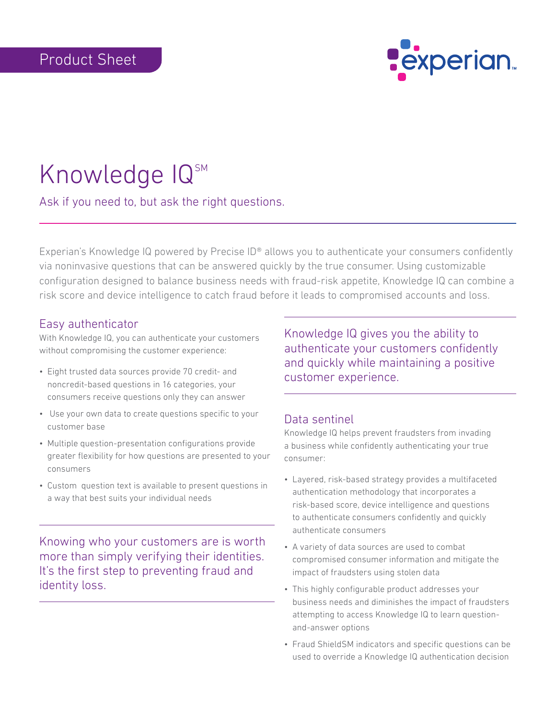

# Knowledge  $IQ<sup>sm</sup>$

Ask if you need to, but ask the right questions.

Experian's Knowledge IQ powered by Precise ID® allows you to authenticate your consumers confidently via noninvasive questions that can be answered quickly by the true consumer. Using customizable configuration designed to balance business needs with fraud-risk appetite, Knowledge IQ can combine a risk score and device intelligence to catch fraud before it leads to compromised accounts and loss.

## Easy authenticator

With Knowledge IQ, you can authenticate your customers without compromising the customer experience:

- Eight trusted data sources provide 70 credit- and noncredit-based questions in 16 categories, your consumers receive questions only they can answer
- Use your own data to create questions specific to your customer base
- Multiple question-presentation configurations provide greater flexibility for how questions are presented to your consumers
- Custom question text is available to present questions in a way that best suits your individual needs

Knowing who your customers are is worth more than simply verifying their identities. It's the first step to preventing fraud and identity loss.

Knowledge IQ gives you the ability to authenticate your customers confidently and quickly while maintaining a positive customer experience.

#### Data sentinel

Knowledge IQ helps prevent fraudsters from invading a business while confidently authenticating your true consumer:

- Layered, risk-based strategy provides a multifaceted authentication methodology that incorporates a risk-based score, device intelligence and questions to authenticate consumers confidently and quickly authenticate consumers
- A variety of data sources are used to combat compromised consumer information and mitigate the impact of fraudsters using stolen data
- This highly configurable product addresses your business needs and diminishes the impact of fraudsters attempting to access Knowledge IQ to learn questionand-answer options
- Fraud ShieldSM indicators and specific questions can be used to override a Knowledge IQ authentication decision